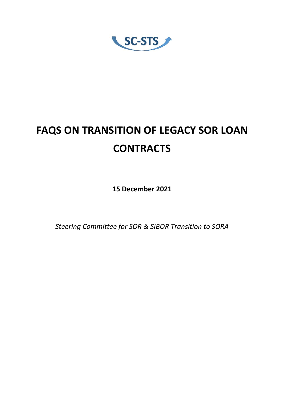SC-STS

# **FAQS ON TRANSITION OF LEGACY SOR LOAN CONTRACTS**

**15 December 2021** 

*Steering Committee for SOR & SIBOR Transition to SORA*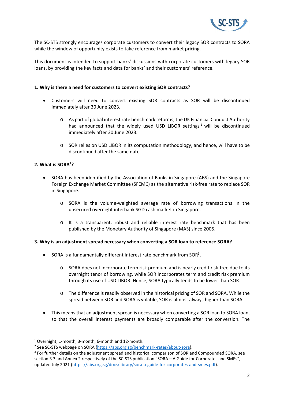

The SC‐STS strongly encourages corporate customers to convert their legacy SOR contracts to SORA while the window of opportunity exists to take reference from market pricing.

This document is intended to support banks' discussions with corporate customers with legacy SOR loans, by providing the key facts and data for banks' and their customers' reference.

#### **1. Why is there a need for customers to convert existing SOR contracts?**

- Customers will need to convert existing SOR contracts as SOR will be discontinued immediately after 30 June 2023.
	- o As part of global interest rate benchmark reforms, the UK Financial Conduct Authority had announced that the widely used USD LIBOR settings<sup>1</sup> will be discontinued immediately after 30 June 2023.
	- o SOR relies on USD LIBOR in its computation methodology, and hence, will have to be discontinued after the same date.

## **2. What is SORA2 ?**

- SORA has been identified by the Association of Banks in Singapore (ABS) and the Singapore Foreign Exchange Market Committee (SFEMC) as the alternative risk‐free rate to replace SOR in Singapore.
	- o SORA is the volume‐weighted average rate of borrowing transactions in the unsecured overnight interbank SGD cash market in Singapore.
	- o It is a transparent, robust and reliable interest rate benchmark that has been published by the Monetary Authority of Singapore (MAS) since 2005.

#### **3. Why is an adjustment spread necessary when converting a SOR loan to reference SORA?**

- $\bullet$  SORA is a fundamentally different interest rate benchmark from SOR<sup>3</sup>.
	- o SORA does not incorporate term risk premium and is nearly credit risk‐free due to its overnight tenor of borrowing, while SOR incorporates term and credit risk premium through its use of USD LIBOR. Hence, SORA typically tends to be lower than SOR.
	- o The difference is readily observed in the historical pricing of SOR and SORA. While the spread between SOR and SORA is volatile, SOR is almost always higher than SORA.
- This means that an adjustment spread is necessary when converting a SOR loan to SORA loan, so that the overall interest payments are broadly comparable after the conversion. The

<sup>1</sup> Overnight, 1‐month, 3‐month, 6‐month and 12‐month.

<sup>&</sup>lt;sup>2</sup> See SC-STS webpage on SORA (https://abs.org.sg/benchmark-rates/about-sora).

<sup>&</sup>lt;sup>3</sup> For further details on the adjustment spread and historical comparison of SOR and Compounded SORA, see section 3.3 and Annex 2 respectively of the SC-STS publication "SORA – A Guide for Corporates and SMEs", updated July 2021 (https://abs.org.sg/docs/library/sora-a-guide-for-corporates-and-smes.pdf).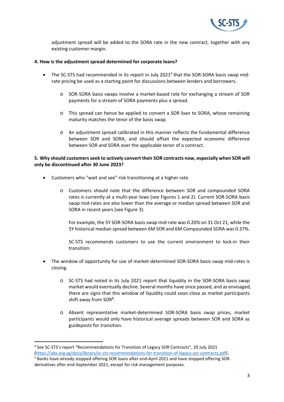

adjustment spread will be added to the SORA rate in the new contract, together with any existing customer margin.

#### **4. How is the adjustment spread determined for corporate loans?**

- The SC-STS had recommended in its report in July 2021<sup>4</sup> that the SOR-SORA basis swap midrate pricing be used as a starting point for discussions between lenders and borrowers.
	- o SOR‐SORA basis swaps involve a market‐based rate for exchanging a stream of SOR payments for a stream of SORA payments plus a spread.
	- o This spread can hence be applied to convert a SOR loan to SORA, whose remaining maturity matches the tenor of the basis swap.
	- o An adjustment spread calibrated in this manner reflects the fundamental difference between SOR and SORA, and should offset the expected economic difference between SOR and SORA over the applicable tenor of a contract.

### **5. Why should customers seek to actively convert their SOR contracts now, especially when SOR will only be discontinued after 30 June 2023?**

- Customers who "wait and see" risk transitioning at a higher rate.
	- o Customers should note that the difference between SOR and compounded SORA rates is currently at a multi‐year lows (see Figures 1 and 2). Current SOR‐SORA basis swap mid-rates are also lower than the average or median spread between SOR and SORA in recent years (see Figure 3).

For example, the 5Y SOR‐SORA basis swap mid‐rate was 0.20% on 31 Oct 21, while the 5Y historical median spread between 6M SOR and 6M Compounded SORA was 0.37%.

SC‐STS recommends customers to use the current environment to lock‐in their transition.

- The window of opportunity for use of market-determined SOR-SORA basis swap mid-rates is closing.
	- o SC‐STS had noted in its July 2021 report that liquidity in the SOR‐SORA basis swap market would eventually decline. Several months have since passed, and as envisaged, there are signs that this window of liquidity could soon close as market participants shift away from SOR**<sup>5</sup>** .
	- o Absent representative market‐determined SOR‐SORA basis swap prices, market participants would only have historical average spreads between SOR and SORA as guideposts for transition.

<sup>4</sup> See SC‐STS's report "Recommendations for Transition of Legacy SOR Contracts", 29 July 2021 (https://abs.org.sg/docs/library/sc‐sts‐recommendations‐for‐transition‐of‐legacy‐sor‐contracts.pdf). <sup>5</sup> Banks have already stopped offering SOR loans after end-April 2021 and have stopped offering SOR

derivatives after end‐September 2021, except for risk management purposes.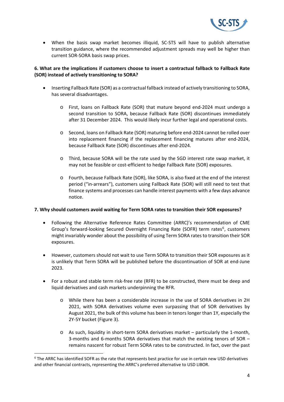

● When the basis swap market becomes illiquid, SC-STS will have to publish alternative transition guidance, where the recommended adjustment spreads may well be higher than current SOR‐SORA basis swap prices.

## **6. What are the implications if customers choose to insert a contractual fallback to Fallback Rate (SOR) instead of actively transitioning to SORA?**

- Inserting Fallback Rate (SOR) as a contractual fallback instead of actively transitioning to SORA, has several disadvantages.
	- o First, loans on Fallback Rate (SOR) that mature beyond end‐2024 must undergo a second transition to SORA, because Fallback Rate (SOR) discontinues immediately after 31 December 2024. This would likely incur further legal and operational costs.
	- o Second, loans on Fallback Rate (SOR) maturing before end‐2024 cannot be rolled over into replacement financing if the replacement financing matures after end‐2024, because Fallback Rate (SOR) discontinues after end‐2024.
	- o Third, because SORA will be the rate used by the SGD interest rate swap market, it may not be feasible or cost-efficient to hedge Fallback Rate (SOR) exposures.
	- o Fourth, because Fallback Rate (SOR), like SORA, is also fixed at the end of the interest period ("in-arrears"), customers using Fallback Rate (SOR) will still need to test that finance systems and processes can handle interest payments with a few days advance notice.

## **7. Why should customers avoid waiting for Term SORA rates to transition their SOR exposures?**

- Following the Alternative Reference Rates Committee (ARRC)'s recommendation of CME Group's forward-looking Secured Overnight Financing Rate (SOFR) term rates<sup>6</sup>, customers might invariably wonder about the possibility of using Term SORA rates to transition their SOR exposures.
- However, customers should not wait to use Term SORA to transition their SOR exposures as it is unlikely that Term SORA will be published before the discontinuation of SOR at end‐June 2023.
- For a robust and stable term risk‐free rate (RFR) to be constructed, there must be deep and liquid derivatives and cash markets underpinning the RFR.
	- o While there has been a considerable increase in the use of SORA derivatives in 2H 2021, with SORA derivatives volume even surpassing that of SOR derivatives by August 2021, the bulk of this volume has been in tenors longer than 1Y, especially the 2Y‐5Y bucket (Figure 3).
	- o As such, liquidity in short‐term SORA derivatives market particularly the 1‐month, 3-months and 6-months SORA derivatives that match the existing tenors of  $SOR$ remains nascent for robust Term SORA rates to be constructed. In fact, over the past

<sup>&</sup>lt;sup>6</sup> The ARRC has identified SOFR as the rate that represents best practice for use in certain new USD derivatives and other financial contracts, representing the ARRC's preferred alternative to USD LIBOR.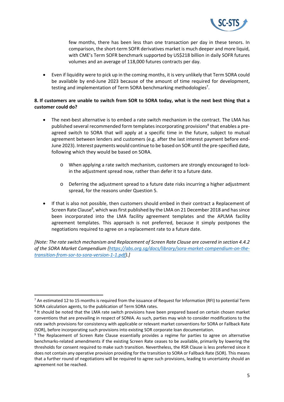

few months, there has been less than one transaction per day in these tenors. In comparison, the short-term SOFR derivatives market is much deeper and more liquid, with CME's Term SOFR benchmark supported by US\$218 billion in daily SOFR futures volumes and an average of 118,000 futures contracts per day.

 Even if liquidity were to pick up in the coming months, it is very unlikely that Term SORA could be available by end-June 2023 because of the amount of time required for development, testing and implementation of Term SORA benchmarking methodologies<sup>7</sup>.

## **8. If customers are unable to switch from SOR to SORA today, what is the next best thing that a customer could do?**

- The next-best alternative is to embed a rate switch mechanism in the contract. The LMA has published several recommended form templates incorporating provisions<sup>8</sup> that enables a preagreed switch to SORA that will apply at a specific time in the future, subject to mutual agreement between lenders and customers (e.g. after the last interest payment before end-June 2023). Interest payments would continue to be based on SOR until the pre‐specified date, following which they would be based on SORA.
	- o When applying a rate switch mechanism, customers are strongly encouraged to lock‐ in the adjustment spread now, rather than defer it to a future date.
	- o Deferring the adjustment spread to a future date risks incurring a higher adjustment spread, for the reasons under Question 5.
- If that is also not possible, then customers should embed in their contract a Replacement of Screen Rate Clause<sup>9</sup>, which was first published by the LMA on 21 December 2018 and has since been incorporated into the LMA facility agreement templates and the APLMA facility agreement templates. This approach is not preferred, because it simply postpones the negotiations required to agree on a replacement rate to a future date.

*[Note: The rate switch mechanism and Replacement of Screen Rate Clause are covered in section 4.4.2 of the SORA Market Compendium (https://abs.org.sg/docs/library/sora‐market‐compendium‐on‐the‐ transition‐from‐sor‐to‐sora‐version‐1‐1.pdf).]* 

<sup>&</sup>lt;sup>7</sup> An estimated 12 to 15 months is required from the issuance of Request for Information (RFI) to potential Term SORA calculation agents, to the publication of Term SORA rates.

<sup>&</sup>lt;sup>8</sup> It should be noted that the LMA rate switch provisions have been prepared based on certain chosen market conventions that are prevailing in respect of SONIA. As such, parties may wish to consider modifications to the rate switch provisions for consistency with applicable or relevant market conventions for SORA or Fallback Rate (SOR), before incorporating such provisions into existing SOR corporate loan documentation.

<sup>&</sup>lt;sup>9</sup> The Replacement of Screen Rate Clause essentially provides a regime for parties to agree on alternative benchmarks‐related amendments if the existing Screen Rate ceases to be available, primarily by lowering the thresholds for consent required to make such transition. Nevertheless, the RSR Clause is less preferred since it does not contain any operative provision providing for the transition to SORA or Fallback Rate (SOR). This means that a further round of negotiations will be required to agree such provisions, leading to uncertainty should an agreement not be reached.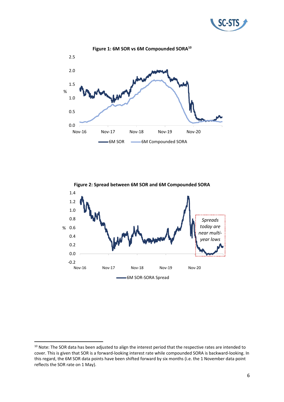





<sup>&</sup>lt;sup>10</sup> Note: The SOR data has been adjusted to align the interest period that the respective rates are intended to cover. This is given that SOR is a forward‐looking interest rate while compounded SORA is backward‐looking. In this regard, the 6M SOR data points have been shifted forward by six months (i.e. the 1 November data point reflects the SOR rate on 1 May).